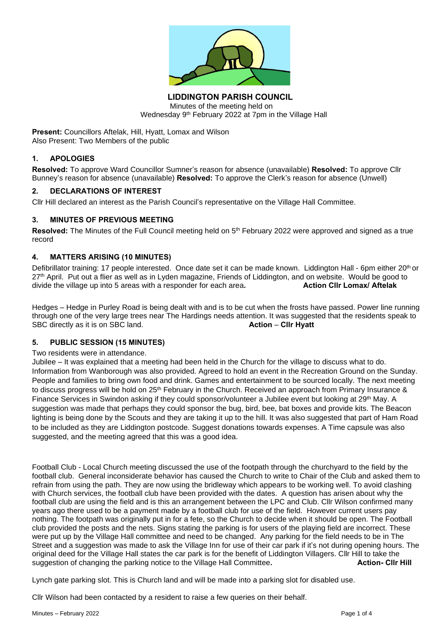

**LIDDINGTON PARISH COUNCIL** Minutes of the meeting held on Wednesday 9 th February 2022 at 7pm in the Village Hall

**Present:** Councillors Aftelak, Hill, Hyatt, Lomax and Wilson Also Present: Two Members of the public

# **1. APOLOGIES**

**Resolved:** To approve Ward Councillor Sumner's reason for absence (unavailable) **Resolved:** To approve Cllr Bunney's reason for absence (unavailable) **Resolved:** To approve the Clerk's reason for absence (Unwell)

## **2. DECLARATIONS OF INTEREST**

Cllr Hill declared an interest as the Parish Council's representative on the Village Hall Committee.

## **3. MINUTES OF PREVIOUS MEETING**

**Resolved:** The Minutes of the Full Council meeting held on 5<sup>th</sup> February 2022 were approved and signed as a true record

# **4. MATTERS ARISING (10 MINUTES)**

Defibrillator training: 17 people interested. Once date set it can be made known. Liddington Hall - 6pm either 20<sup>th</sup> or 27<sup>th</sup> April. Put out a flier as well as in Lyden magazine, Friends of Liddington, and on website. Would be good to divide the village up into 5 areas with a responder for each area. **Action Clir Lomax/ Aftelak** divide the village up into 5 areas with a responder for each area.

Hedges – Hedge in Purley Road is being dealt with and is to be cut when the frosts have passed. Power line running through one of the very large trees near The Hardings needs attention. It was suggested that the residents speak to SBC directly as it is on SBC land. **Action** – **Cllr Hyatt**

## **5. PUBLIC SESSION (15 MINUTES)**

## Two residents were in attendance.

Jubilee – It was explained that a meeting had been held in the Church for the village to discuss what to do. Information from Wanborough was also provided. Agreed to hold an event in the Recreation Ground on the Sunday. People and families to bring own food and drink. Games and entertainment to be sourced locally. The next meeting to discuss progress will be hold on 25<sup>th</sup> February in the Church. Received an approach from Primary Insurance & Finance Services in Swindon asking if they could sponsor/volunteer a Jubilee event but looking at 29th May. A suggestion was made that perhaps they could sponsor the bug, bird, bee, bat boxes and provide kits. The Beacon lighting is being done by the Scouts and they are taking it up to the hill. It was also suggested that part of Ham Road to be included as they are Liddington postcode. Suggest donations towards expenses. A Time capsule was also suggested, and the meeting agreed that this was a good idea.

Football Club - Local Church meeting discussed the use of the footpath through the churchyard to the field by the football club. General inconsiderate behavior has caused the Church to write to Chair of the Club and asked them to refrain from using the path. They are now using the bridleway which appears to be working well. To avoid clashing with Church services, the football club have been provided with the dates. A question has arisen about why the football club are using the field and is this an arrangement between the LPC and Club. Cllr Wilson confirmed many years ago there used to be a payment made by a football club for use of the field. However current users pay nothing. The footpath was originally put in for a fete, so the Church to decide when it should be open. The Football club provided the posts and the nets. Signs stating the parking is for users of the playing field are incorrect. These were put up by the Village Hall committee and need to be changed. Any parking for the field needs to be in The Street and a suggestion was made to ask the Village Inn for use of their car park if it's not during opening hours. The original deed for the Village Hall states the car park is for the benefit of Liddington Villagers. Cllr Hill to take the suggestion of changing the parking notice to the Village Hall Committee**. Action- Cllr Hill**

Lynch gate parking slot. This is Church land and will be made into a parking slot for disabled use.

Cllr Wilson had been contacted by a resident to raise a few queries on their behalf.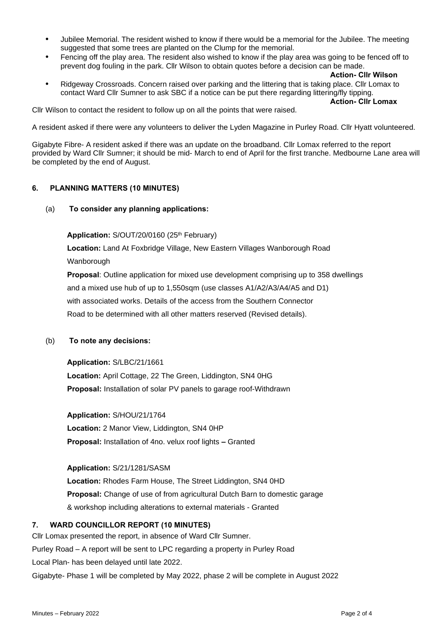- **•** Jubilee Memorial. The resident wished to know if there would be a memorial for the Jubilee. The meeting suggested that some trees are planted on the Clump for the memorial.
- **•** Fencing off the play area. The resident also wished to know if the play area was going to be fenced off to prevent dog fouling in the park. Cllr Wilson to obtain quotes before a decision can be made.
	- **Action- Cllr Wilson**

**Action- Cllr Lomax**

**•** Ridgeway Crossroads. Concern raised over parking and the littering that is taking place. Cllr Lomax to contact Ward Cllr Sumner to ask SBC if a notice can be put there regarding littering/fly tipping.

Cllr Wilson to contact the resident to follow up on all the points that were raised.

A resident asked if there were any volunteers to deliver the Lyden Magazine in Purley Road. Cllr Hyatt volunteered.

Gigabyte Fibre- A resident asked if there was an update on the broadband. Cllr Lomax referred to the report provided by Ward Cllr Sumner; it should be mid- March to end of April for the first tranche. Medbourne Lane area will be completed by the end of August.

#### **6. PLANNING MATTERS (10 MINUTES)**

(a) **To consider any planning applications:**

Application: S/OUT/20/0160 (25<sup>th</sup> February)

**Location:** Land At Foxbridge Village, New Eastern Villages Wanborough Road Wanborough

**Proposal**: Outline application for mixed use development comprising up to 358 dwellings and a mixed use hub of up to 1,550sqm (use classes A1/A2/A3/A4/A5 and D1) with associated works. Details of the access from the Southern Connector Road to be determined with all other matters reserved (Revised details).

(b) **To note any decisions:**

**Application:** S/LBC/21/1661

**Location:** April Cottage, 22 The Green, Liddington, SN4 0HG **Proposal:** Installation of solar PV panels to garage roof-Withdrawn

**Application:** S/HOU/21/1764

**Location:** 2 Manor View, Liddington, SN4 0HP **Proposal:** Installation of 4no. velux roof lights **–** Granted

**Application:** S/21/1281/SASM

**Location:** Rhodes Farm House, The Street Liddington, SN4 0HD **Proposal:** Change of use of from agricultural Dutch Barn to domestic garage & workshop including alterations to external materials - Granted

#### **7. WARD COUNCILLOR REPORT (10 MINUTES)**

Cllr Lomax presented the report, in absence of Ward Cllr Sumner. Purley Road – A report will be sent to LPC regarding a property in Purley Road Local Plan- has been delayed until late 2022. Gigabyte- Phase 1 will be completed by May 2022, phase 2 will be complete in August 2022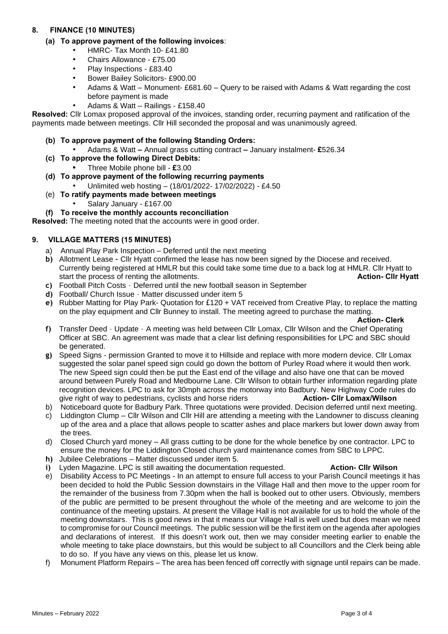# **8. FINANCE (10 MINUTES)**

- **(a) To approve payment of the following invoices**:
	- HMRC- Tax Month 10- £41.80
	- Chairs Allowance £75.00
	- Play Inspections £83.40
	- Bower Bailey Solicitors- £900.00
	- Adams & Watt Monument- £681.60 Query to be raised with Adams & Watt regarding the cost before payment is made
	- Adams & Watt Railings £158.40

**Resolved:** Cllr Lomax proposed approval of the invoices, standing order, recurring payment and ratification of the payments made between meetings. Cllr Hill seconded the proposal and was unanimously agreed.

## **(b) To approve payment of the following Standing Orders:**

- Adams & Watt **–** Annual grass cutting contract **–** January instalment- **£**526.34
- **(c) To approve the following Direct Debits:**
	- **•** Three Mobile phone bill **£**3.00
- **(d) To approve payment of the following recurring payments** • Unlimited web hosting – (18/01/2022- 17/02/2022) - £4.50
- (e) **To ratify payments made between meetings**
	- Salary January £167.00

# **(f) To receive the monthly accounts reconciliation**

**Resolved:** The meeting noted that the accounts were in good order.

## **9. VILLAGE MATTERS (15 MINUTES)**

- a) Annual Play Park Inspection Deferred until the next meeting
- **b)** Allotment Lease **–** Cllr Hyatt confirmed the lease has now been signed by the Diocese and received. Currently being registered at HMLR but this could take some time due to a back log at HMLR. Cllr Hyatt to start the process of renting the allotments. **Action- Cllr Hyatt**
- **c)** Football Pitch Costs Deferred until the new football season in September
- **d)** Football/ Church Issue Matter discussed under item 5
- **e)** Rubber Matting for Play Park- Quotation for £120 + VAT received from Creative Play, to replace the matting on the play equipment and Cllr Bunney to install. The meeting agreed to purchase the matting.

**Action- Clerk**

- **f)** Transfer Deed Update A meeting was held between Cllr Lomax, Cllr Wilson and the Chief Operating Officer at SBC. An agreement was made that a clear list defining responsibilities for LPC and SBC should be generated.
- **g)** Speed Signs permission Granted to move it to Hillside and replace with more modern device. Cllr Lomax suggested the solar panel speed sign could go down the bottom of Purley Road where it would then work. The new Speed sign could then be put the East end of the village and also have one that can be moved around between Purely Road and Medbourne Lane. Cllr Wilson to obtain further information regarding plate recognition devices. LPC to ask for 30mph across the motorway into Badbury. New Highway Code rules do give right of way to pedestrians, cyclists and horse riders **Action- Cllr Lomax/Wilson**
- b) Noticeboard quote for Badbury Park. Three quotations were provided. Decision deferred until next meeting.
- c) Liddington Clump Cllr Wilson and Cllr Hill are attending a meeting with the Landowner to discuss cleaning up of the area and a place that allows people to scatter ashes and place markers but lower down away from the trees.
- d) Closed Church yard money All grass cutting to be done for the whole benefice by one contractor. LPC to ensure the money for the Liddington Closed church yard maintenance comes from SBC to LPPC.
- **h)** Jubilee Celebrations Matter discussed under item 5.
- **i)** Lyden Magazine. LPC is still awaiting the documentation requested. **Action- Cllr Wilson**
- e) Disability Access to PC Meetings In an attempt to ensure full access to your Parish Council meetings it has been decided to hold the Public Session downstairs in the Village Hall and then move to the upper room for the remainder of the business from 7.30pm when the hall is booked out to other users. Obviously, members of the public are permitted to be present throughout the whole of the meeting and are welcome to join the continuance of the meeting upstairs. At present the Village Hall is not available for us to hold the whole of the meeting downstairs. This is good news in that it means our Village Hall is well used but does mean we need to compromise for our Council meetings. The public session will be the first item on the agenda after apologies and declarations of interest. If this doesn't work out, then we may consider meeting earlier to enable the whole meeting to take place downstairs, but this would be subject to all Councillors and the Clerk being able to do so. If you have any views on this, please let us know.
- f) Monument Platform Repairs The area has been fenced off correctly with signage until repairs can be made.